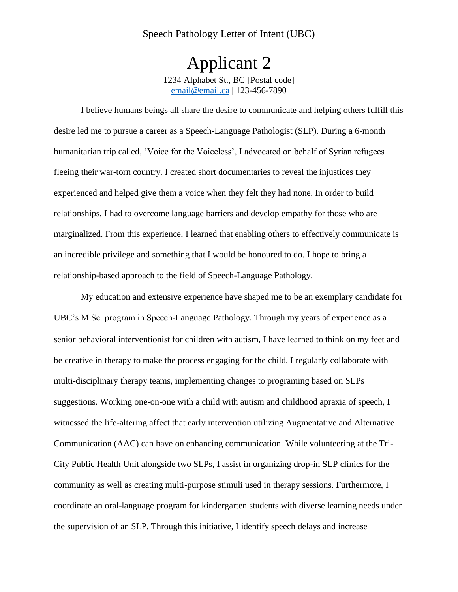## Speech Pathology Letter of Intent (UBC)

Applicant 2 1234 Alphabet St., BC [Postal code] email@email.ca | 123-456-7890

I believe humans beings all share the desire to communicate and helping others fulfill this desire led me to pursue a career as a Speech-Language Pathologist (SLP). During a 6-month humanitarian trip called, 'Voice for the Voiceless', I advocated on behalf of Syrian refugees fleeing their war-torn country. I created short documentaries to reveal the injustices they experienced and helped give them a voice when they felt they had none. In order to build relationships, I had to overcome language barriers and develop empathy for those who are marginalized. From this experience, I learned that enabling others to effectively communicate is an incredible privilege and something that I would be honoured to do. I hope to bring a relationship-based approach to the field of Speech-Language Pathology.

My education and extensive experience have shaped me to be an exemplary candidate for UBC's M.Sc. program in Speech-Language Pathology. Through my years of experience as a senior behavioral interventionist for children with autism, I have learned to think on my feet and be creative in therapy to make the process engaging for the child. I regularly collaborate with multi-disciplinary therapy teams, implementing changes to programing based on SLPs suggestions. Working one-on-one with a child with autism and childhood apraxia of speech, I witnessed the life-altering affect that early intervention utilizing Augmentative and Alternative Communication (AAC) can have on enhancing communication. While volunteering at the Tri-City Public Health Unit alongside two SLPs, I assist in organizing drop-in SLP clinics for the community as well as creating multi-purpose stimuli used in therapy sessions. Furthermore, I coordinate an oral-language program for kindergarten students with diverse learning needs under the supervision of an SLP. Through this initiative, I identify speech delays and increase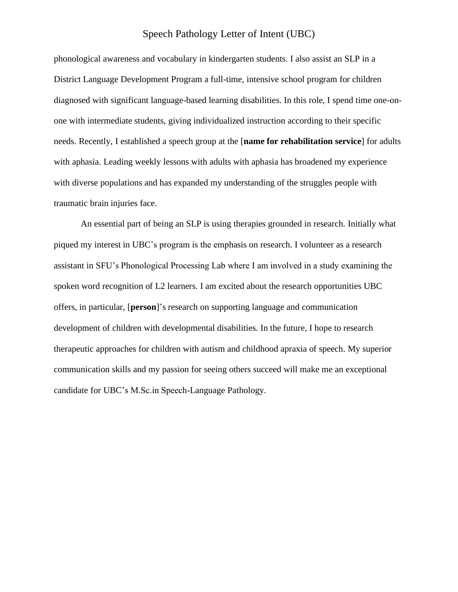## Speech Pathology Letter of Intent (UBC)

phonological awareness and vocabulary in kindergarten students. I also assist an SLP in a District Language Development Program a full-time, intensive school program for children diagnosed with significant language-based learning disabilities. In this role, I spend time one-onone with intermediate students, giving individualized instruction according to their specific needs. Recently, I established a speech group at the [**name for rehabilitation service**] for adults with aphasia. Leading weekly lessons with adults with aphasia has broadened my experience with diverse populations and has expanded my understanding of the struggles people with traumatic brain injuries face.

An essential part of being an SLP is using therapies grounded in research. Initially what piqued my interest in UBC's program is the emphasis on research. I volunteer as a research assistant in SFU's Phonological Processing Lab where I am involved in a study examining the spoken word recognition of L2 learners. I am excited about the research opportunities UBC offers, in particular, [**person**]'s research on supporting language and communication development of children with developmental disabilities. In the future, I hope to research therapeutic approaches for children with autism and childhood apraxia of speech. My superior communication skills and my passion for seeing others succeed will make me an exceptional candidate for UBC's M.Sc.in Speech-Language Pathology.